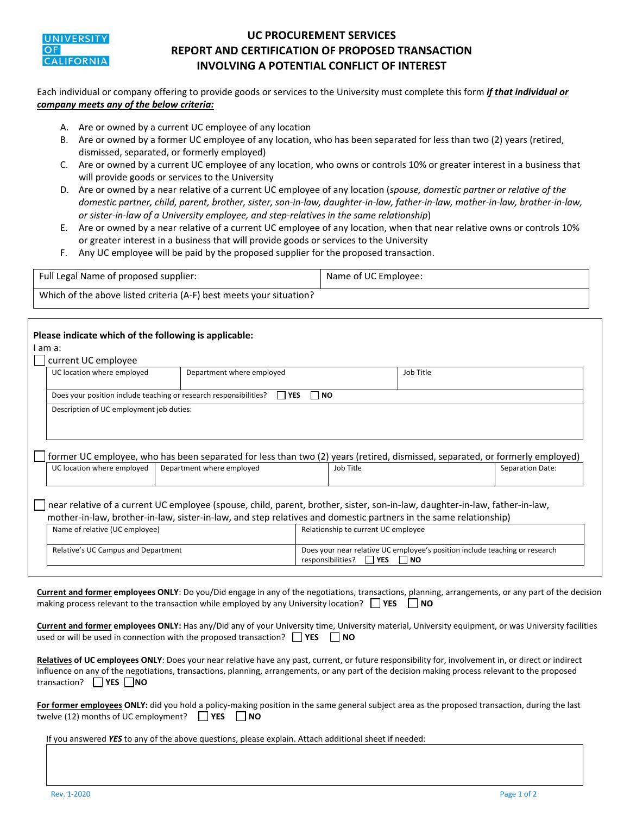

## **UC PROCUREMENT SERVICES REPORT AND CERTIFICATION OF PROPOSED TRANSACTION INVOLVING A POTENTIAL CONFLICT OF INTEREST**

Each individual or company offering to provide goods or services to the University must complete this form *if that individual or company meets any of the below criteria:* 

- A. Are or owned by a current UC employee of any location
- B. Are or owned by a former UC employee of any location, who has been separated for less than two (2) years (retired, dismissed, separated, or formerly employed)
- C. Are or owned by a current UC employee of any location, who owns or controls 10% or greater interest in a business that will provide goods or services to the University
- D. Are or owned by a near relative of a current UC employee of any location (*spouse, domestic partner or relative of the domestic partner, child, parent, brother, sister, son‐in‐law, daughter‐in‐law, father‐in‐law, mother‐in‐law, brother‐in‐law, or sister‐in‐law of a University employee, and step‐relatives in the same relationship*)
- E. Are or owned by a near relative of a current UC employee of any location, when that near relative owns or controls 10% or greater interest in a business that will provide goods or services to the University
- F. Any UC employee will be paid by the proposed supplier for the proposed transaction.

| Full Legal Name of proposed supplier:                               | Name of UC Employee: |
|---------------------------------------------------------------------|----------------------|
| Which of the above listed criteria (A-F) best meets your situation? |                      |

|                                                                                                                                                                                                                                                 | Please indicate which of the following is applicable:<br>I am a:                             |                           |                                                                                                                          |           |           |                  |  |  |
|-------------------------------------------------------------------------------------------------------------------------------------------------------------------------------------------------------------------------------------------------|----------------------------------------------------------------------------------------------|---------------------------|--------------------------------------------------------------------------------------------------------------------------|-----------|-----------|------------------|--|--|
|                                                                                                                                                                                                                                                 | current UC employee                                                                          |                           |                                                                                                                          |           |           |                  |  |  |
|                                                                                                                                                                                                                                                 | UC location where employed                                                                   | Department where employed |                                                                                                                          |           | Job Title |                  |  |  |
|                                                                                                                                                                                                                                                 | Does your position include teaching or research responsibilities?<br><b>YES</b><br><b>NO</b> |                           |                                                                                                                          |           |           |                  |  |  |
|                                                                                                                                                                                                                                                 | Description of UC employment job duties:                                                     |                           |                                                                                                                          |           |           |                  |  |  |
| former UC employee, who has been separated for less than two (2) years (retired, dismissed, separated, or formerly employed)                                                                                                                    |                                                                                              |                           |                                                                                                                          |           |           |                  |  |  |
|                                                                                                                                                                                                                                                 | UC location where employed                                                                   | Department where employed |                                                                                                                          | Job Title |           | Separation Date: |  |  |
| near relative of a current UC employee (spouse, child, parent, brother, sister, son-in-law, daughter-in-law, father-in-law,<br>mother-in-law, brother-in-law, sister-in-law, and step relatives and domestic partners in the same relationship) |                                                                                              |                           |                                                                                                                          |           |           |                  |  |  |
|                                                                                                                                                                                                                                                 | Name of relative (UC employee)                                                               |                           | Relationship to current UC employee                                                                                      |           |           |                  |  |  |
| Relative's UC Campus and Department                                                                                                                                                                                                             |                                                                                              |                           | Does your near relative UC employee's position include teaching or research<br><b>I</b> YES<br>responsibilities?<br>l NO |           |           |                  |  |  |
|                                                                                                                                                                                                                                                 |                                                                                              |                           |                                                                                                                          |           |           |                  |  |  |

**Current and former employees ONLY**: Do you/Did engage in any of the negotiations, transactions, planning, arrangements, or any part of the decision making process relevant to the transaction while employed by any University location?  **YES NO**

**Current and former employees ONLY:** Has any/Did any of your University time, University material, University equipment, or was University facilities used or will be used in connection with the proposed transaction?  **YES NO**

| Relatives of UC employees ONLY: Does your near relative have any past, current, or future responsibility for, involvement in, or direct or indirect |
|-----------------------------------------------------------------------------------------------------------------------------------------------------|
| influence on any of the negotiations, transactions, planning, arrangements, or any part of the decision making process relevant to the proposed     |
| transaction? $\Box$ YES $\Box$ NO                                                                                                                   |

For former employees ONLY: did you hold a policy-making position in the same general subject area as the proposed transaction, during the last twelve (12) months of UC employment?  $\Box$  YES  $\Box$  NO

If you answered *YES* to any of the above questions, please explain. Attach additional sheet if needed: